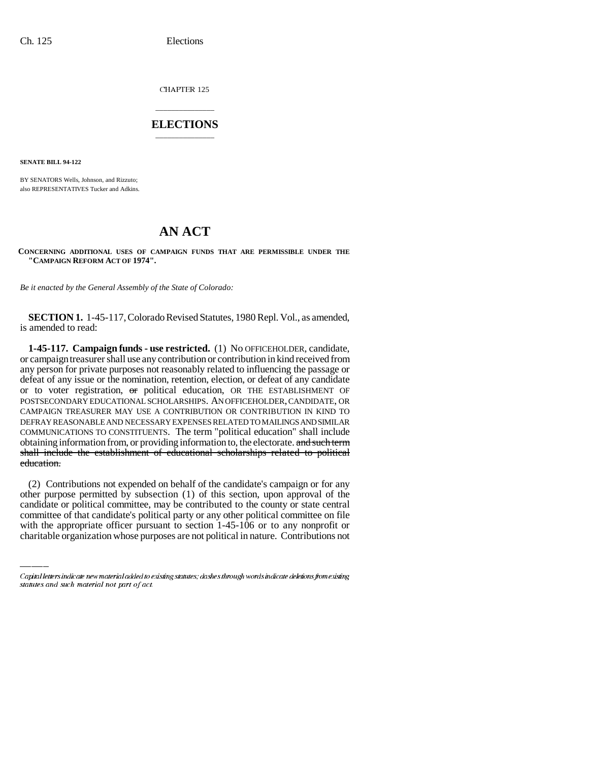CHAPTER 125

## \_\_\_\_\_\_\_\_\_\_\_\_\_\_\_ **ELECTIONS** \_\_\_\_\_\_\_\_\_\_\_\_\_\_\_

**SENATE BILL 94-122**

BY SENATORS Wells, Johnson, and Rizzuto; also REPRESENTATIVES Tucker and Adkins.

## **AN ACT**

**CONCERNING ADDITIONAL USES OF CAMPAIGN FUNDS THAT ARE PERMISSIBLE UNDER THE "CAMPAIGN REFORM ACT OF 1974".**

*Be it enacted by the General Assembly of the State of Colorado:*

**SECTION 1.** 1-45-117, Colorado Revised Statutes, 1980 Repl. Vol., as amended, is amended to read:

**1-45-117. Campaign funds - use restricted.** (1) No OFFICEHOLDER, candidate, or campaign treasurer shall use any contribution or contribution in kind received from any person for private purposes not reasonably related to influencing the passage or defeat of any issue or the nomination, retention, election, or defeat of any candidate or to voter registration, or political education, OR THE ESTABLISHMENT OF POSTSECONDARY EDUCATIONAL SCHOLARSHIPS. AN OFFICEHOLDER, CANDIDATE, OR CAMPAIGN TREASURER MAY USE A CONTRIBUTION OR CONTRIBUTION IN KIND TO DEFRAY REASONABLE AND NECESSARY EXPENSES RELATED TO MAILINGS AND SIMILAR COMMUNICATIONS TO CONSTITUENTS. The term "political education" shall include obtaining information from, or providing information to, the electorate. and such term shall include the establishment of educational scholarships related to political education.

other purpose permitted by subsection (1) of this section, upon approval of the (2) Contributions not expended on behalf of the candidate's campaign or for any candidate or political committee, may be contributed to the county or state central committee of that candidate's political party or any other political committee on file with the appropriate officer pursuant to section 1-45-106 or to any nonprofit or charitable organization whose purposes are not political in nature. Contributions not

Capital letters indicate new material added to existing statutes; dashes through words indicate deletions from existing statutes and such material not part of act.